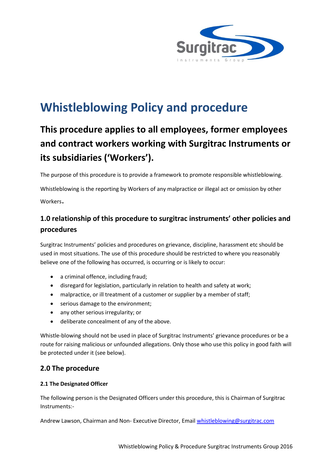

# **Whistleblowing Policy and procedure**

## **This procedure applies to all employees, former employees and contract workers working with Surgitrac Instruments or its subsidiaries ('Workers').**

The purpose of this procedure is to provide a framework to promote responsible whistleblowing.

Whistleblowing is the reporting by Workers of any malpractice or illegal act or omission by other Workers.

## **1.0 relationship of this procedure to surgitrac instruments' other policies and procedures**

Surgitrac Instruments' policies and procedures on grievance, discipline, harassment etc should be used in most situations. The use of this procedure should be restricted to where you reasonably believe one of the following has occurred, is occurring or is likely to occur:

- a criminal offence, including fraud;
- disregard for legislation, particularly in relation to health and safety at work;
- malpractice, or ill treatment of a customer or supplier by a member of staff;
- serious damage to the environment;
- any other serious irregularity; or
- deliberate concealment of any of the above.

Whistle-blowing should not be used in place of Surgitrac Instruments' grievance procedures or be a route for raising malicious or unfounded allegations. Only those who use this policy in good faith will be protected under it (see below).

## **2.0 The procedure**

## **2.1 The Designated Officer**

The following person is the Designated Officers under this procedure, this is Chairman of Surgitrac Instruments:-

Andrew Lawson, Chairman and Non- Executive Director, Email [whistleblowing@surgitrac.com](mailto:whistleblowing@surgitrac.com)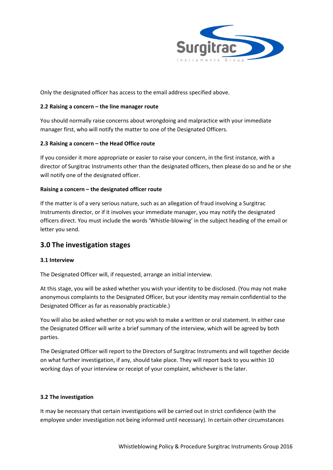

Only the designated officer has access to the email address specified above.

### **2.2 Raising a concern – the line manager route**

You should normally raise concerns about wrongdoing and malpractice with your immediate manager first, who will notify the matter to one of the Designated Officers.

## **2.3 Raising a concern – the Head Office route**

If you consider it more appropriate or easier to raise your concern, in the first instance, with a director of Surgitrac Instruments other than the designated officers, then please do so and he or she will notify one of the designated officer.

## **Raising a concern – the designated officer route**

If the matter is of a very serious nature, such as an allegation of fraud involving a Surgitrac Instruments director, or if it involves your immediate manager, you may notify the designated officers direct. You must include the words 'Whistle-blowing' in the subject heading of the email or letter you send.

## **3.0 The investigation stages**

### **3.1 Interview**

The Designated Officer will, if requested, arrange an initial interview.

At this stage, you will be asked whether you wish your identity to be disclosed. (You may not make anonymous complaints to the Designated Officer, but your identity may remain confidential to the Designated Officer as far as reasonably practicable.)

You will also be asked whether or not you wish to make a written or oral statement. In either case the Designated Officer will write a brief summary of the interview, which will be agreed by both parties.

The Designated Officer will report to the Directors of Surgitrac Instruments and will together decide on what further investigation, if any, should take place. They will report back to you within 10 working days of your interview or receipt of your complaint, whichever is the later.

## **3.2 The investigation**

It may be necessary that certain investigations will be carried out in strict confidence (with the employee under investigation not being informed until necessary). In certain other circumstances